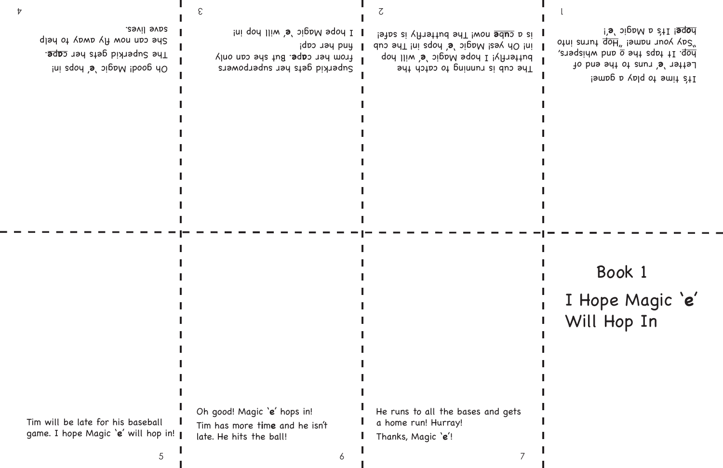It's time to play a game! Letter 'e' runs to the end of and the ship whispers, and whispers,  $optuj$  suunt  $\overline{d}$ oh, jawpu uno $\Lambda$   $\Lambda$ ps '! **<sup>e</sup>** ! It's a Magic ' **<sup>e</sup>**p**o**<sup>h</sup>

Superkid gets her superpowers From her cape. But she can only

Ini qoh IIIw 's' bigaM sqon I

 $id$  puy ner cap!

3

Oh good! Magic 'e' oh a land The Superkid gets her cape. She can now AH wou aps by savil svas.

 $\sigma$  and  $\sigma$  2  $\sigma$  2  $\sigma$  2  $\sigma$  2  $\sigma$  2  $\sigma$  2  $\sigma$  2  $\sigma$  2  $\sigma$  2  $\sigma$  2  $\sigma$  2  $\sigma$  2  $\sigma$  2  $\sigma$  2  $\sigma$  2  $\sigma$  2  $\sigma$  2  $\sigma$  2  $\sigma$  2  $\sigma$  2  $\sigma$  2  $\sigma$  2  $\sigma$  2  $\sigma$  2  $\sigma$  2  $\sigma$  2  $\sigma$  2  $\sigma$  2  $\sigma$  2  $\sigma$  2  $\$ 

The cub is running to catch the butterfly! I hope Magic 'e' will hop In! Oh yes! Magic 'e' and in! The cub is a c**u**be now! The butterfly is safe!

#### I Hope Magic '**e**' Will Hop In Book 1

Tim will be late for his baseball game. I hope Magic '**e**' will hop in! Oh good! Magic '**e**' hops in! Tim has more t**i**m**e** and he isn't late. He hits the ball!

He runs to all the bases and gets a home run! Hurray!

5 7

Thanks, Magic '**e**'!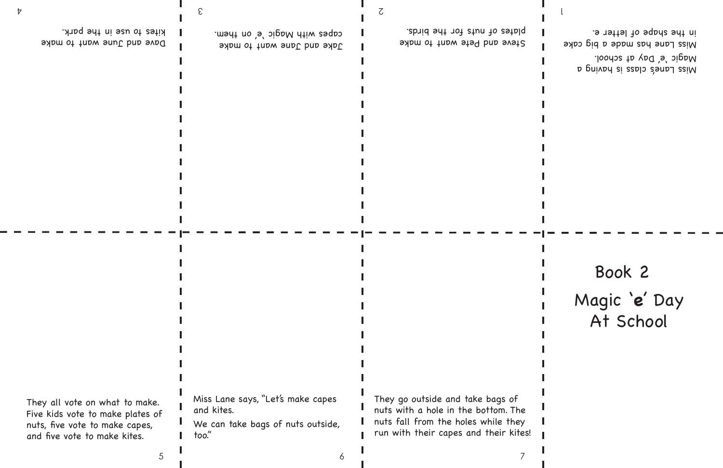Miss Lane's class is having a Magic 'e' Day at school. Miss Lane has made a big cake in the shape of letter e.

Jake and Jane want to make capes with Magic 'e' on them.

Dave and June want to make kites to use in the park.

They all vote on what to make. Five kids vote to make plates of nuts, five vote to make capes, and five vote to make kites.

Steve and Pete want to make plates of nuts for the birds.

5 7

#### Magic '**e**' Day At School Book 2

Miss Lane says, "Let's make capes and kites.

We can take bags of nuts outside, too."

They go outside and take bags of nuts with a hole in the bottom. The nuts fall from the holes while they run with their capes and their kites!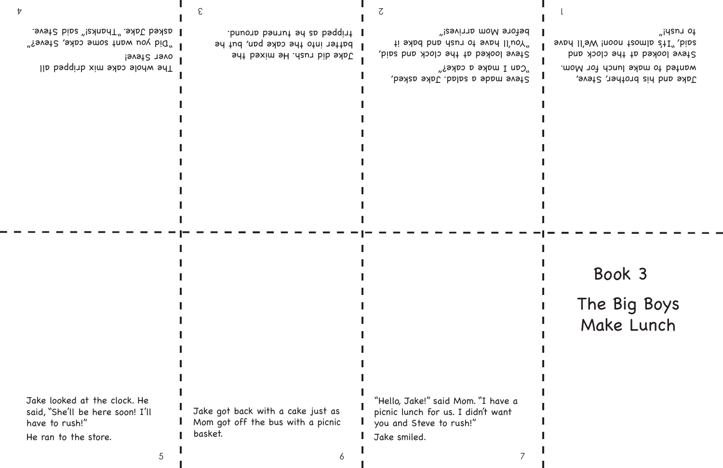Jake and his brother, Steve, wanted to make lunch for Mom. Steve looked at the clock and svad II's almoon teem as  $tT''$ , bias to rush!"

Steve made a salad. Jake asked,  $C$ an I make a cake?" Steve looked at the clock and said, "You'll have to rush and bake it

 $^{\prime\prime}$ Did you want some cake, Steve?" asked Jake. "Thanks!" said Steve.

before Mom arrives!"

Jake did rush. He mixed the batter into the cake pan, but he tripped as he turned around.

 $\sigma$  and  $\sigma$  2  $\sigma$  2  $\sigma$  2  $\sigma$  2  $\sigma$  2  $\sigma$  2  $\sigma$  2  $\sigma$  2  $\sigma$  2  $\sigma$  2  $\sigma$  2  $\sigma$  2  $\sigma$  2  $\sigma$  2  $\sigma$  2  $\sigma$  2  $\sigma$  2  $\sigma$  2  $\sigma$  2  $\sigma$  2  $\sigma$  2  $\sigma$  2  $\sigma$  2  $\sigma$  2  $\sigma$  2  $\sigma$  2  $\sigma$  2  $\sigma$  2  $\sigma$  2  $\sigma$  2  $\$ 

3

#### The Big Boys Make Lunch Book 3

The whole cake mix dripped all over Steve!

Jake looked at the clock. He said, "She'll be here soon! I'll have to rush!"

He ran to the store.

Jake got back with a cake just as Mom got off the bus with a picnic basket.

5 7

"Hello, Jake!" said Mom. "I have a picnic lunch for us. I didn't want you and Steve to rush!" Jake smiled.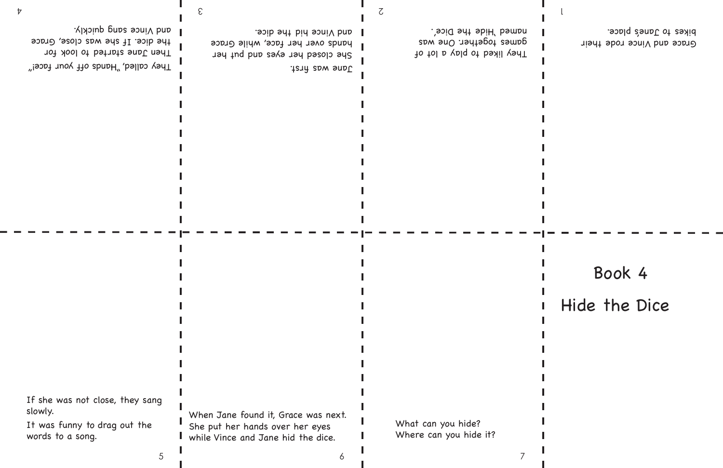Grace and Vince rode their

bikes to Jane's place.

They liked to play a lot of games together. One was named 'Hide the Dice'.

Jane was first. She closed her eyes and hut her hands over her face, while Grace and Vince hid the dice.

5 7

They called," "Hands off your face!" Then Jane started to look for the dice. If she was close, Grace l auq <sub>Vi</sub>nce saug dnickly.

> Hide the Dice Book 4

If she was not close, they sang

slowly.

words to a song.

It was funny to drag out the When Jane found it, Grace was next. She put her hands over her eyes while Vince and Jane hid the dice.

3

What can you hide? Where can you hide it?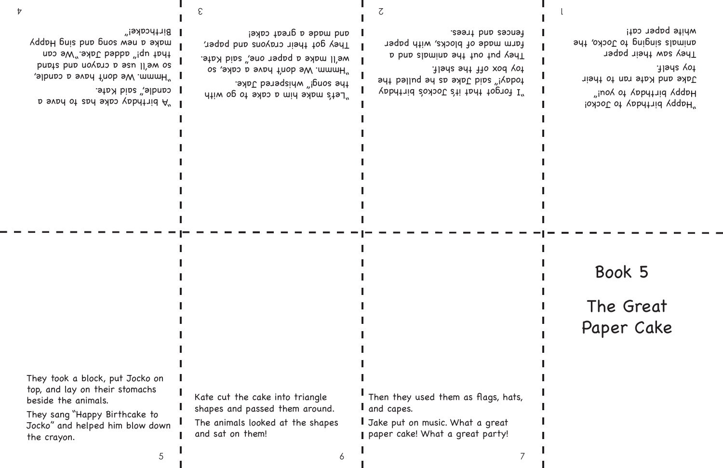Yabdtrid 20100 2ti tadt toprot I" today!" said Jake as he pulled the toy box off the shelf.

They put out the animals and an farm made of blocks, with paper fences and trees.

 $\sigma$  and  $\sigma$  2  $\sigma$  2  $\sigma$  2  $\sigma$  2  $\sigma$  2  $\sigma$  2  $\sigma$  2  $\sigma$  2  $\sigma$  2  $\sigma$  2  $\sigma$  2  $\sigma$  2  $\sigma$  2  $\sigma$  2  $\sigma$  2  $\sigma$  2  $\sigma$  2  $\sigma$  2  $\sigma$  2  $\sigma$  2  $\sigma$  2  $\sigma$  2  $\sigma$  2  $\sigma$  2  $\sigma$  2  $\sigma$  2  $\sigma$  2  $\sigma$  2  $\sigma$  2  $\sigma$  2  $\$ 

"Happy birthday to Jocko! Happy birthday to you!" Jake and Kate ran to their toy shelf. They saw their paper animals singing to Jocko, the white paper cat!

"Hmmm. We don't have a cake, so we'll make a paper one," said Kate.

They got their crayons and paper,

and made a great cake!

"Let's make him a cake to go with the song!" whispered Jake. **D** svah ot zad sake has to have a candle," said Kate.

**Birthcake!"** 

3

I "Hmmm. We don't have a candle,

so we'll use a crayon and stand that" added Jake."We can YadapH puis buo buos wau b aypw

> I Jake put on music. What a great paper cake! What a great party!

Then they used them as flags, hats,

### The Great Paper Cake Book 5

They took a block, put Jocko on top, and lay on their stomachs

beside the animals.

They sang "Happy Birthcake to Jocko" and helped him blow down the crayon.

Kate cut the cake into triangle shapes and passed them around.

The animals looked at the shapes and sat on them!

5 7

and capes.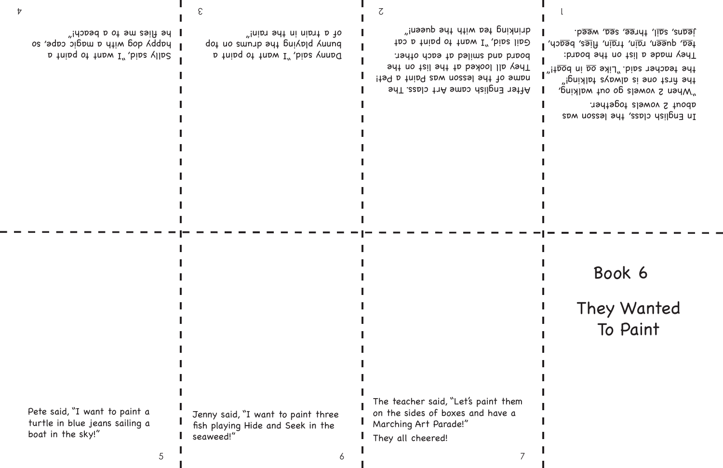D tuind ot tubw I" bine yound dot no sumup ayt buikpld kuunq of a train in the rain!"

After English came Art class. The name of the lesson was Paint a Pet! They all looked at the list on the board and smiled at each other. Gail said, "I want to paint a cat drinking tea with the queen!"

### They Wanted To Paint Book 6

Sally said, "I want to paint a bapy dog with a magic cape, so he fl ies me to a beach!"

 $\sigma$  and  $\sigma$  2  $\sigma$  2  $\sigma$  2  $\sigma$  2  $\sigma$  2  $\sigma$  2  $\sigma$  2  $\sigma$  2  $\sigma$  2  $\sigma$  2  $\sigma$  2  $\sigma$  2  $\sigma$  2  $\sigma$  2  $\sigma$  2  $\sigma$  2  $\sigma$  2  $\sigma$  2  $\sigma$  2  $\sigma$  2  $\sigma$  2  $\sigma$  2  $\sigma$  2  $\sigma$  2  $\sigma$  2  $\sigma$  2  $\sigma$  2  $\sigma$  2  $\sigma$  2  $\sigma$  2  $\$ 3

In English class, ship lesson was about 2 vowels together. "When 2 vowels go out walking, the fi rst one is always talking!" the teacher said." Like <u>oa</u> in b<u>oa</u>t!" They made a list no the board: tea, queen, rain, train, flies, beach, Jeans, sail, three, sea, weed.

Pete said, "I want to paint a turtle in blue jeans sailing a boat in the sky!"

Jenny said, "I want to paint three fish playing Hide and Seek in the seaweed!"

5 7

The teacher said, "Let's paint them on the sides of boxes and have a Marching Art Parade!" They all cheered!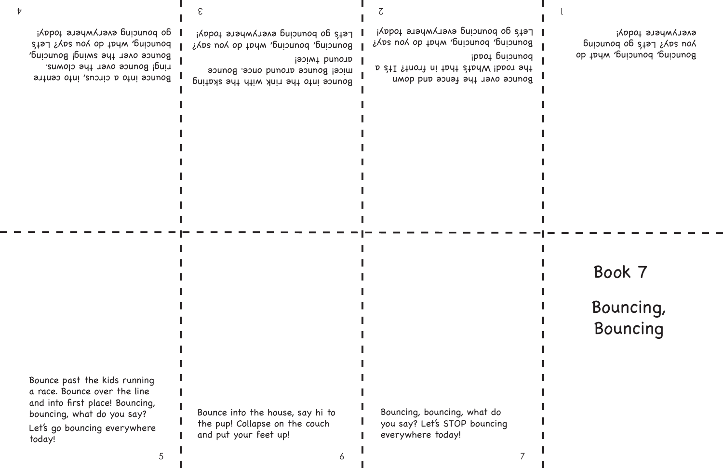Bouncing, Bouncing

Bouncing, bouncing, what do You say? Let's go bouncing everywhere today!

Bonucing, couply what do you say? Let's go bouncing everywhere today!

the road! What's that in front? It's a

Bonuciud' ponuciud' what ap Yon zay? Let's go bouncing everywhere today!

Bounce into the rink with the skating

mice! Bounce around once. Bounce

3

around twice!

5 7

Bounce into a circus, into centre ring! Bounce over the clowns. Bounce over the swing! Bouncing, bouncing, what do you say? Let's go bouncing everywhere today!

Bounce past the kids running a race. Bounce over the line and into first place! Bouncing, bouncing, what do you say? Let's go bouncing everywhere today!

Bounce into the house, say hi to the pup! Collapse on the couch and put your feet up!

Bouncing, bouncing, what do you say? Let's STOP bouncing everywhere today!

Bounce over the fence and down

ppot paisunod

#### Book 7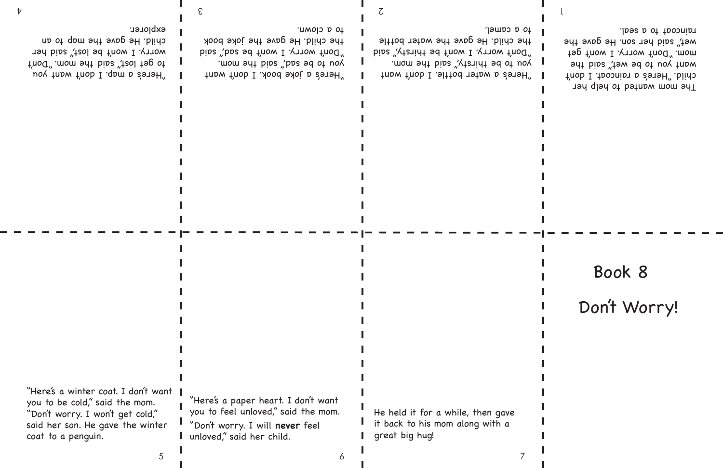"Here's a water bottle. I don't want you to be thirsty," said the mom. "Don't worry. I won't be thirsty," said the child. He gave the water bottle to a camel.

 $\sigma$  and  $\sigma$  2  $\sigma$  2  $\sigma$  2  $\sigma$  2  $\sigma$  2  $\sigma$  2  $\sigma$  2  $\sigma$  2  $\sigma$  2  $\sigma$  2  $\sigma$  2  $\sigma$  2  $\sigma$  2  $\sigma$  2  $\sigma$  2  $\sigma$  2  $\sigma$  2  $\sigma$  2  $\sigma$  2  $\sigma$  2  $\sigma$  2  $\sigma$  2  $\sigma$  2  $\sigma$  2  $\sigma$  2  $\sigma$  2  $\sigma$  2  $\sigma$  2  $\sigma$  2  $\sigma$  2  $\$ 

"Here's a joke book. I don't want you to be sad," said the mom. "Don't worry. I won't be sad," said the child. He gave the joke book to a clown.

3

Don't Worry! The mom wanted to help her child. "Here's a raincoat. I don't want you to be wet, said the mom. "Don't worry. I won't get wet," said her son. He gave the raincoat to a seal. Book 8

"Here's a map. I don't want you to get lost," said the mom. "Don't worry. I won't be lost," said her child. He gave the map to an explorer.

"Here's a winter coat. I don't want you to be cold," said the mom. "Don't worry. I won't get cold," said her son. He gave the winter coat to a penguin.

"Here's a paper heart. I don't want you to feel unloved," said the mom. "Don't worry. I will **never** feel unloved," said her child.

5 7

He held it for a while, then gave it back to his mom along with a great big hug!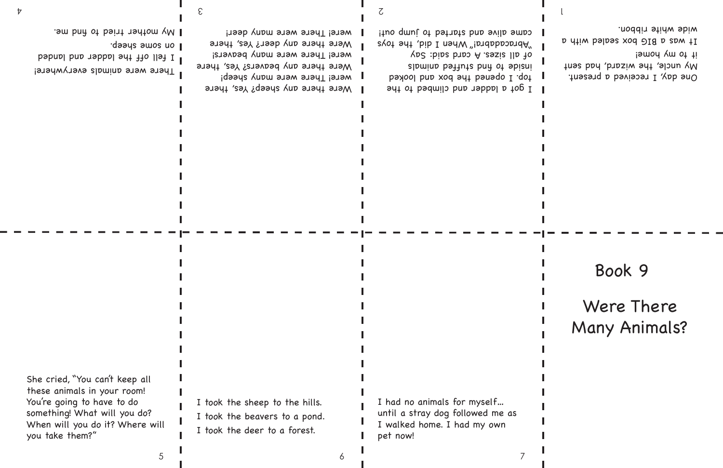One day, I received a present. My uncle, the wizard, had sent is my home! It was a BIG box sealed with a wide white ribbon.

Were there any sheep? Yes, there were! There were many sheep! Were there any beavers? Yes, there were! There were many beavers! Were there any deer? Yes, there were! There were many deer!

 $\sigma$  and  $\sigma$  2  $\sigma$  2  $\sigma$  2  $\sigma$  2  $\sigma$  2  $\sigma$  2  $\sigma$  2  $\sigma$  2  $\sigma$  2  $\sigma$  2  $\sigma$  2  $\sigma$  2  $\sigma$  2  $\sigma$  2  $\sigma$  2  $\sigma$  2  $\sigma$  2  $\sigma$  2  $\sigma$  2  $\sigma$  2  $\sigma$  2  $\sigma$  2  $\sigma$  2  $\sigma$  2  $\sigma$  2  $\sigma$  2  $\sigma$  2  $\sigma$  2  $\sigma$  2  $\sigma$  2  $\$ 

3

I got a ladder and climbed to the top. I opened the box and looked slamina battute bnd ot sbieni of all sizes. A card said: Say "Abracadabra" When I did, the toys came alive and started to jump out!

# Were There Many Animals? Book 9

She cried, "You can't keep all these animals in your room! You're going to have to do something! What will you do? When will you do it? Where will you take them?"

I took the sheep to the hills.

I took the beavers to a pond.

5 7

I took the deer to a forest.

I had no animals for myself… until a stray dog followed me as I walked home. I had my own pet now!

**There were animals everywhere!** 

I fell off the ladder and landed

. Sm bnn ot bsint nshtom yM |

daays amos no 1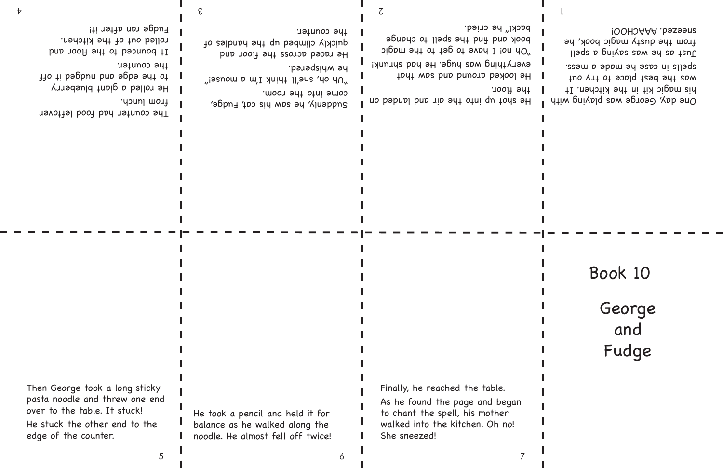$\mu$  issnow p will yuidt II, sys 'yo yn  $\mu$ he whispered. He raced across the floor and quickly climbed up the handles of the counter.

Sudphay 120 sid was su Klusppng,

 $\sigma$  and  $\sigma$  2  $\sigma$  2  $\sigma$  2  $\sigma$  2  $\sigma$  2  $\sigma$  2  $\sigma$  2  $\sigma$  2  $\sigma$  2  $\sigma$  2  $\sigma$  2  $\sigma$  2  $\sigma$  2  $\sigma$  2  $\sigma$  2  $\sigma$  2  $\sigma$  2  $\sigma$  2  $\sigma$  2  $\sigma$  2  $\sigma$  2  $\sigma$  2  $\sigma$  2  $\sigma$  2  $\sigma$  2  $\sigma$  2  $\sigma$  2  $\sigma$  2  $\sigma$  2  $\sigma$  2  $\$ 

3

come into the room.

He looked around and saw that everything was huge. He had shrunk!  $\log_{10}$  bind  $\log_{10}$  to the magic book and the spell to change speed back!" he cried.

George and Fudge One day, George was playing with his magic kit in the kitchen. It was the best place to try out ssam b sppu ay aspo ui sllags. Just as buives saw sure as teal from the dusty magic book, he sneezed. AAACHOO! Book 10

The counter had food leftover

the edge and nudged it of

from lunch.

He rolled a giant blueberry

It bounced to the floor and

the counter.

He should pub into the should and consider and consider the post of the paper of the solution of the solution the floor.

rolled out of the kitchen.

Fudge ran after it!

Then George took a long sticky

pasta noodle and threw one end over to the table. It stuck! He stuck the other end to the edge of the counter.

He took a pencil and held it for balance as he walked along the noodle. He almost fell off twice!

5 7

Finally, he reached the table. As he found the page and began to chant the spell, his mother walked into the kitchen. Oh no! She sneezed!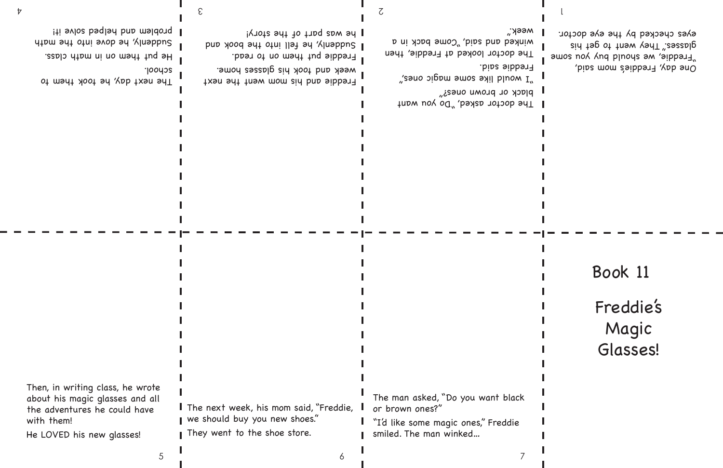Freddie's Magic Glasses!

One day, Freddie's mom said, "Freddie, we should buy wous somes glasses." They went to get his eyes checked by the eye doctor.

Freddie and his mom went the next week and took his glasses home. Freddie put them on to read. I Sud along bot fell into the book and but he was part of the story!

The doctor asked, "Do you want black or brown ones?"

He put them on in math class. Suddenly, he over into the math Iti svlos bsqlsd bn msldonq I

The next day, he took them to

 $\sigma$  and  $\sigma$  2  $\sigma$  2  $\sigma$  2  $\sigma$  2  $\sigma$  2  $\sigma$  2  $\sigma$  2  $\sigma$  2  $\sigma$  2  $\sigma$  2  $\sigma$  2  $\sigma$  2  $\sigma$  2  $\sigma$  2  $\sigma$  2  $\sigma$  2  $\sigma$  2  $\sigma$  2  $\sigma$  2  $\sigma$  2  $\sigma$  2  $\sigma$  2  $\sigma$  2  $\sigma$  2  $\sigma$  2  $\sigma$  2  $\sigma$  2  $\sigma$  2  $\sigma$  2  $\sigma$  2  $\$ 3

> "I would like some magic ones," Freddie said.

The doctor looked at Freddie, then winked and said, "come pack in a week."

school.

Then, in writing class, he wrote

about his magic glasses and all the adventures he could have with them!

He LOVED his new glasses!

I The next week, his mom said, "Freddie, we should buy you new shoes." I They went to the shoe store.

5 7

The man asked, "Do you want black

or brown ones?" "I'd like some magic ones," Freddie

smiled. The man winked…

# Book 11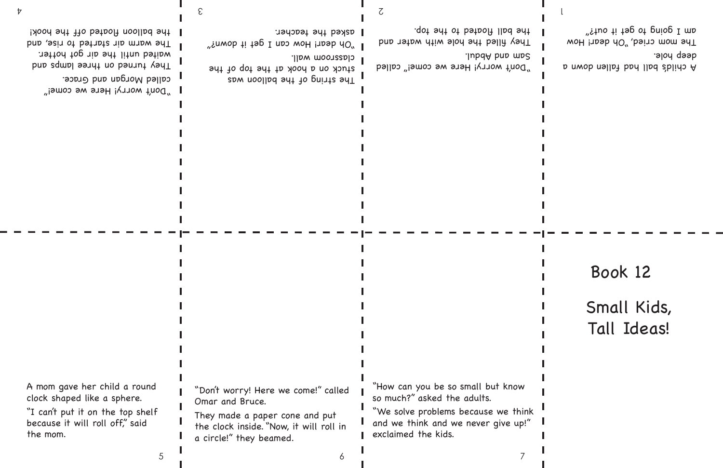A child's ball had fallen down a deep hole. The mom cried, "Oh dear! How am I going to get it out?"

The string of the balloon was stuck on a hook at the top of the

classroom wall. "Snwob ti tsp I noo woH insob dO" asked the teacher.

"Don't worry! Here we come!" called Sam and Abdul.

They filled the hole with water and .qot snt ot batooff llbd snt

 $\sigma$  and  $\sigma$  2  $\sigma$  2  $\sigma$  2  $\sigma$  2  $\sigma$  2  $\sigma$  2  $\sigma$  2  $\sigma$  2  $\sigma$  2  $\sigma$  2  $\sigma$  2  $\sigma$  2  $\sigma$  2  $\sigma$  2  $\sigma$  2  $\sigma$  2  $\sigma$  2  $\sigma$  2  $\sigma$  2  $\sigma$  2  $\sigma$  2  $\sigma$  2  $\sigma$  2  $\sigma$  2  $\sigma$  2  $\sigma$  2  $\sigma$  2  $\sigma$  2  $\sigma$  2  $\sigma$  2  $\$ 3

5 7

"Don't worry! Here we come!"

They trued ou take language and they waited until the air got hotter.

called Morgan and Grace.

## Small Kids, Tall Ideas! Book 12

The warm air started to rise, and

I the balloon floated off the hook!

A mom gave her child a round

clock shaped like a sphere. because it will roll off," said

"I can't put it on the top shelf the mom.

"Don't worry! Here we come!" called Omar and Bruce.

They made a paper cone and put the clock inside. "Now, it will roll in a circle!" they beamed.

"How can you be so small but know so much?" asked the adults. "We solve problems because we think

and we think and we never give up!"

exclaimed the kids.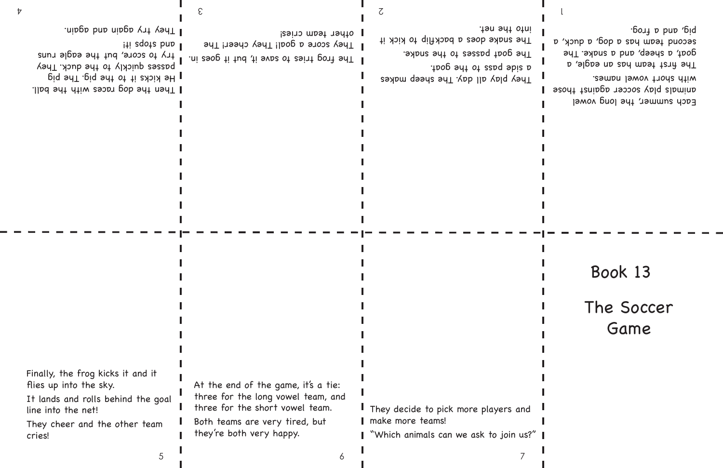Each summer, the long vowel animals play soccer against those with short vowel names. The first team has an eagle, a goat, a sheep, and a snake. The secouq team has a god, a dop a duck, a bout a boup did

The frog tries to save it, but it goes in. They score a goal! They cheer! The other team cries!

 $\sigma$  and  $\sigma$  2  $\sigma$  2  $\sigma$  2  $\sigma$  2  $\sigma$  2  $\sigma$  2  $\sigma$  2  $\sigma$  2  $\sigma$  2  $\sigma$  2  $\sigma$  2  $\sigma$  2  $\sigma$  2  $\sigma$  2  $\sigma$  2  $\sigma$  2  $\sigma$  2  $\sigma$  2  $\sigma$  2  $\sigma$  2  $\sigma$  2  $\sigma$  2  $\sigma$  2  $\sigma$  2  $\sigma$  2  $\sigma$  2  $\sigma$  2  $\sigma$  2  $\sigma$  2  $\sigma$  2  $\$ 

3

passes duickly to the duck. They try to score, but the eagle runs

He kicks it to the pig. The pig

I They try again and again.

lti eqote bno 1

They play all days and replay and keep a side but pay to the dous The goat passes to the snake. The snake does a backflip to kick it

Finally, the frog kicks it and it flies up into the sky.

into the net.

At the end of the game, it's a tie: three for the long vowel team, and three for the short vowel team. Both teams are very tired, but they're both very happy.

5 7

Then the dog races with the ball.

#### The Soccer Game Book 13

It lands and rolls behind the goal

line into the net! They cheer and the other team cries!

They decide to pick more players and make more teams!

"Which animals can we ask to join us?"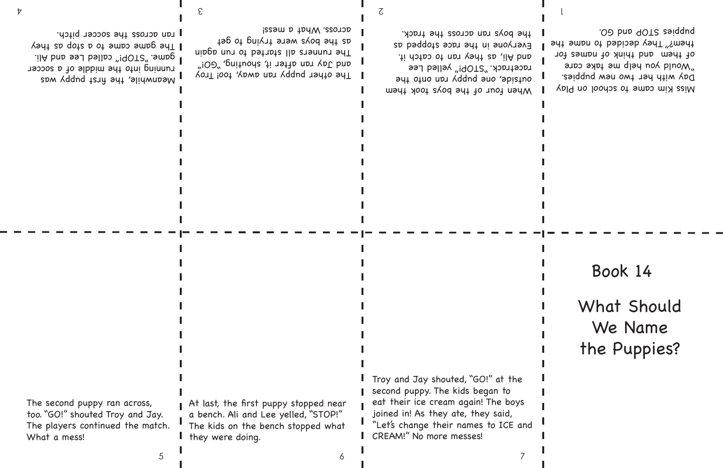The other puppy ran away, too! Troy and Jay ran after it, shouting, "GOI" The runners all started to run again as the boys were trying to get across. What a mess!

Meanwhile, the first puppy was running into the middle of a soccer game. "STOP!" called Lee and Ali. Yeque came to a supp and they ran across the soccer pitch.

 $\sigma$  and  $\sigma$  2  $\sigma$  2  $\sigma$  2  $\sigma$  2  $\sigma$  2  $\sigma$  2  $\sigma$  2  $\sigma$  2  $\sigma$  2  $\sigma$  2  $\sigma$  2  $\sigma$  2  $\sigma$  2  $\sigma$  2  $\sigma$  2  $\sigma$  2  $\sigma$  2  $\sigma$  2  $\sigma$  2  $\sigma$  2  $\sigma$  2  $\sigma$  2  $\sigma$  2  $\sigma$  2  $\sigma$  2  $\sigma$  2  $\sigma$  2  $\sigma$  2  $\sigma$  2  $\sigma$  2  $\$ 3

When four of the boys took them out of the net all your order the public of racetrack. "STOP!" yelled Lee and Ali, as they ran to catch it. Everyone in the race stopped as the boys ran across the track.

At last, the first puppy stopped near a bench. Ali and Lee yelled, "STOP!" The kids on the bench stopped what they were doing.

5 7

# What Should We Name the Puppies? Miss Kim came to school on Play Day with her two new puppies. would you help me take care of them and think of names for them?" They decided to mame the puppies STOP and GO. Book 14

The second puppy ran across, too. "GO!" shouted Troy and Jay. The players continued the match. What a mess!

Troy and Jay shouted, "GO!" at the second puppy. The kids began to eat their ice cream again! The boys joined in! As they ate, they said, "Let's change their names to ICE and CREAM!" No more messes!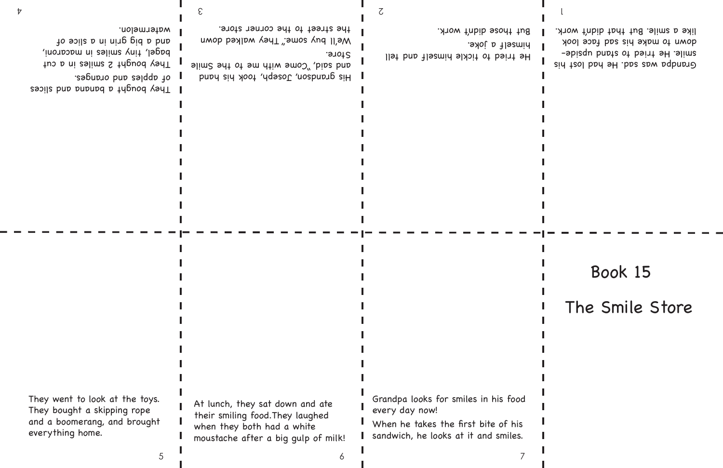Grandpa was say that had lost had smile. He tried to stand upsidedown to make his sad face look like a smile. But that didn't work.

His grandson, Joseph, How his hand alim2 sdt ot sm dtiw smo<sup>2"</sup> , bip2 bnp Store.

3

We'll buy some." They walked down the street to the corner store.

I They bought a bandar and slices of apples and oranges. They bought 2 smiles in a cut bagel, tiny smiles in macaroni, and a big b and so so so so so

He tried to tickle himself and tell himself a joke. But those didn't work.

Grandpa looks for smiles in his food every day now! When he takes the first bite of his

# The Smile Store Book 15

watermelon.

 $\sigma$  and  $\sigma$  2  $\sigma$  2  $\sigma$  2  $\sigma$  2  $\sigma$  2  $\sigma$  2  $\sigma$  2  $\sigma$  2  $\sigma$  2  $\sigma$  2  $\sigma$  2  $\sigma$  2  $\sigma$  2  $\sigma$  2  $\sigma$  2  $\sigma$  2  $\sigma$  2  $\sigma$  2  $\sigma$  2  $\sigma$  2  $\sigma$  2  $\sigma$  2  $\sigma$  2  $\sigma$  2  $\sigma$  2  $\sigma$  2  $\sigma$  2  $\sigma$  2  $\sigma$  2  $\sigma$  2  $\$ 

They went to look at the toys. They bought a skipping rope and a boomerang, and brought everything home.

At lunch, they sat down and ate their smiling food.They laughed when they both had a white moustache after a big gulp of milk!

5 7

sandwich, he looks at it and smiles.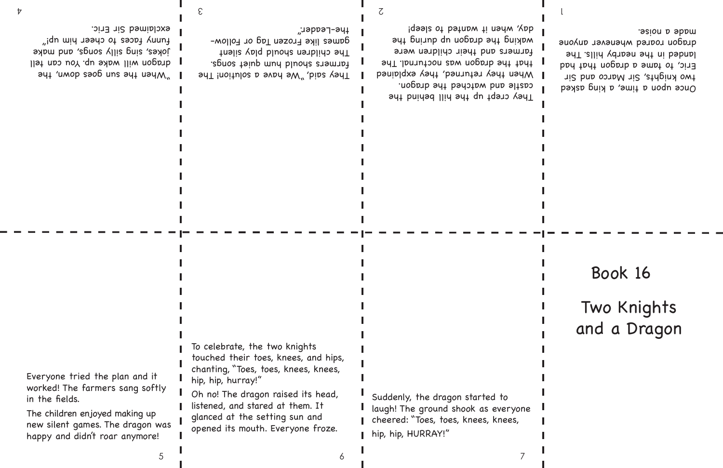Once upon a time, a king asked two knights, Sir Marco and Sir Eric, to tame a dragon that had landed in the nearby hills. The dragon roared whenever anyone made a noise.

They said, "We have a solution! The farmers should hum quiet songs. The children should play silent games like Frozen Tag or Follow-

3

"when says une support when you llst nos uoy .qu sybw lliw noporb jokes, sing silly songs, and make fices to cheer him up!" exclaimed Sir Eric.

 $\sigma$  and  $\sigma$  2  $\sigma$  2  $\sigma$  2  $\sigma$  2  $\sigma$  2  $\sigma$  2  $\sigma$  2  $\sigma$  2  $\sigma$  2  $\sigma$  2  $\sigma$  2  $\sigma$  2  $\sigma$  2  $\sigma$  2  $\sigma$  2  $\sigma$  2  $\sigma$  2  $\sigma$  2  $\sigma$  2  $\sigma$  2  $\sigma$  2  $\sigma$  2  $\sigma$  2  $\sigma$  2  $\sigma$  2  $\sigma$  2  $\sigma$  2  $\sigma$  2  $\sigma$  2  $\sigma$  2  $\$ 

the-Leader." They crept up the hill behind the castle and watched the dragon. When they returned, they explained that the dragon was nocturnal. The farmers and their children were waking the dragon up during the day, when it wanted to sleep!

#### Two Knights and a Dragon Book 16

Everyone tried the plan and it

in the fields.

worked! The farmers sang softly

5 7

The children enjoyed making up new silent games. The dragon was happy and didn't roar anymore!

To celebrate, the two knights touched their toes, knees, and hips, chanting, "Toes, toes, knees, knees, hip, hip, hurray!"

Oh no! The dragon raised its head, listened, and stared at them. It glanced at the setting sun and opened its mouth. Everyone froze.

Suddenly, the dragon started to laugh! The ground shook as everyone cheered: "Toes, toes, knees, knees, hip, hip, HURRAY!"